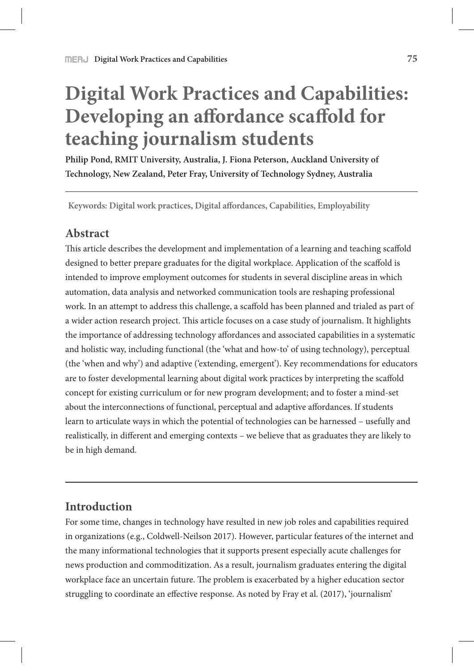# **Digital Work Practices and Capabilities: Developing an a!ordance sca!old for teaching journalism students**

**Philip Pond, RMIT University, Australia, J. Fiona Peterson, Auckland University of Technology, New Zealand, Peter Fray, University of Technology Sydney, Australia**

**Keywords: Digital work practices, Digital a!ordances, Capabilities, Employability**

### **Abstract**

This article describes the development and implementation of a learning and teaching scaffold designed to better prepare graduates for the digital workplace. Application of the scaffold is intended to improve employment outcomes for students in several discipline areas in which automation, data analysis and networked communication tools are reshaping professional work. In an attempt to address this challenge, a scaffold has been planned and trialed as part of a wider action research project. This article focuses on a case study of journalism. It highlights the importance of addressing technology affordances and associated capabilities in a systematic and holistic way, including functional (the 'what and how-to' of using technology), perceptual (the 'when and why') and adaptive ('extending, emergent'). Key recommendations for educators are to foster developmental learning about digital work practices by interpreting the scaffold concept for existing curriculum or for new program development; and to foster a mind-set about the interconnections of functional, perceptual and adaptive affordances. If students learn to articulate ways in which the potential of technologies can be harnessed – usefully and realistically, in different and emerging contexts – we believe that as graduates they are likely to be in high demand.

### **Introduction**

For some time, changes in technology have resulted in new job roles and capabilities required in organizations (e.g., Coldwell-Neilson 2017). However, particular features of the internet and the many informational technologies that it supports present especially acute challenges for news production and commoditization. As a result, journalism graduates entering the digital workplace face an uncertain future. The problem is exacerbated by a higher education sector struggling to coordinate an effective response. As noted by Fray et al. (2017), 'journalism'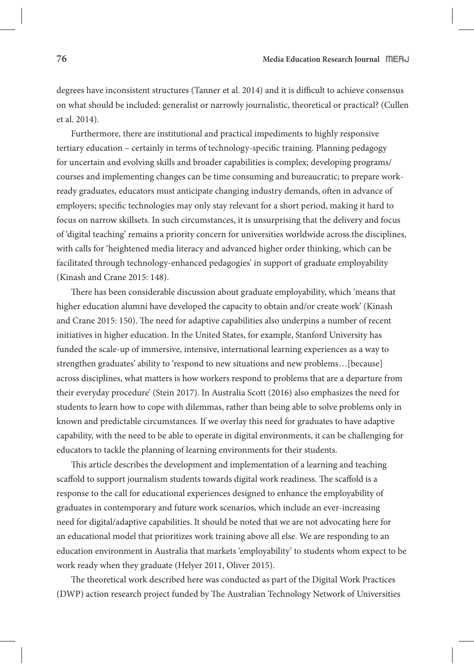degrees have inconsistent structures (Tanner et al. 2014) and it is difficult to achieve consensus on what should be included: generalist or narrowly journalistic, theoretical or practical? (Cullen et al. 2014).

Furthermore, there are institutional and practical impediments to highly responsive tertiary education – certainly in terms of technology-specific training. Planning pedagogy for uncertain and evolving skills and broader capabilities is complex; developing programs/ courses and implementing changes can be time consuming and bureaucratic; to prepare workready graduates, educators must anticipate changing industry demands, often in advance of employers; specific technologies may only stay relevant for a short period, making it hard to focus on narrow skillsets. In such circumstances, it is unsurprising that the delivery and focus of 'digital teaching' remains a priority concern for universities worldwide across the disciplines, with calls for 'heightened media literacy and advanced higher order thinking, which can be facilitated through technology-enhanced pedagogies' in support of graduate employability (Kinash and Crane 2015: 148).

There has been considerable discussion about graduate employability, which 'means that higher education alumni have developed the capacity to obtain and/or create work' (Kinash and Crane 2015: 150). The need for adaptive capabilities also underpins a number of recent initiatives in higher education. In the United States, for example, Stanford University has funded the scale-up of immersive, intensive, international learning experiences as a way to strengthen graduates' ability to 'respond to new situations and new problems…[because] across disciplines, what matters is how workers respond to problems that are a departure from their everyday procedure' (Stein 2017). In Australia Scott (2016) also emphasizes the need for students to learn how to cope with dilemmas, rather than being able to solve problems only in known and predictable circumstances. If we overlay this need for graduates to have adaptive capability, with the need to be able to operate in digital environments, it can be challenging for educators to tackle the planning of learning environments for their students.

This article describes the development and implementation of a learning and teaching scaffold to support journalism students towards digital work readiness. The scaffold is a response to the call for educational experiences designed to enhance the employability of graduates in contemporary and future work scenarios, which include an ever-increasing need for digital/adaptive capabilities. It should be noted that we are not advocating here for an educational model that prioritizes work training above all else. We are responding to an education environment in Australia that markets 'employability' to students whom expect to be work ready when they graduate (Helyer 2011, Oliver 2015).

The theoretical work described here was conducted as part of the Digital Work Practices (DWP) action research project funded by The Australian Technology Network of Universities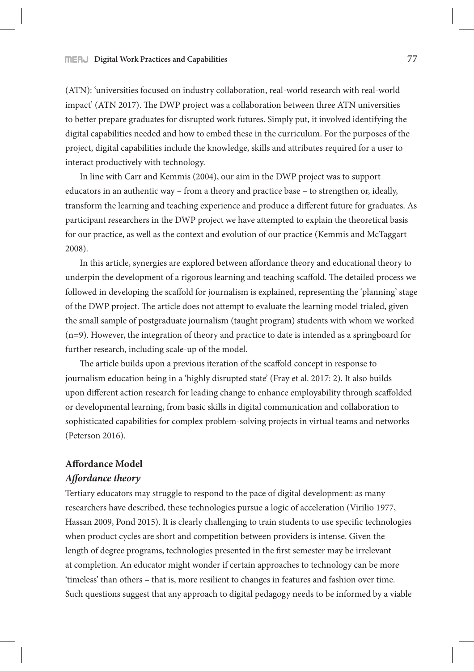(ATN): 'universities focused on industry collaboration, real-world research with real-world impact' (ATN 2017). The DWP project was a collaboration between three ATN universities to better prepare graduates for disrupted work futures. Simply put, it involved identifying the digital capabilities needed and how to embed these in the curriculum. For the purposes of the project, digital capabilities include the knowledge, skills and attributes required for a user to interact productively with technology.

In line with Carr and Kemmis (2004), our aim in the DWP project was to support educators in an authentic way – from a theory and practice base – to strengthen or, ideally, transform the learning and teaching experience and produce a different future for graduates. As participant researchers in the DWP project we have attempted to explain the theoretical basis for our practice, as well as the context and evolution of our practice (Kemmis and McTaggart 2008).

In this article, synergies are explored between affordance theory and educational theory to underpin the development of a rigorous learning and teaching scaffold. The detailed process we followed in developing the scaffold for journalism is explained, representing the 'planning' stage of the DWP project. The article does not attempt to evaluate the learning model trialed, given the small sample of postgraduate journalism (taught program) students with whom we worked (n=9). However, the integration of theory and practice to date is intended as a springboard for further research, including scale-up of the model.

The article builds upon a previous iteration of the scaffold concept in response to journalism education being in a 'highly disrupted state' (Fray et al. 2017: 2). It also builds upon different action research for leading change to enhance employability through scaffolded or developmental learning, from basic skills in digital communication and collaboration to sophisticated capabilities for complex problem-solving projects in virtual teams and networks (Peterson 2016).

### **A!ordance Model**

### *A***!***ordance theory*

Tertiary educators may struggle to respond to the pace of digital development: as many researchers have described, these technologies pursue a logic of acceleration (Virilio 1977, Hassan 2009, Pond 2015). It is clearly challenging to train students to use specific technologies when product cycles are short and competition between providers is intense. Given the length of degree programs, technologies presented in the first semester may be irrelevant at completion. An educator might wonder if certain approaches to technology can be more 'timeless' than others – that is, more resilient to changes in features and fashion over time. Such questions suggest that any approach to digital pedagogy needs to be informed by a viable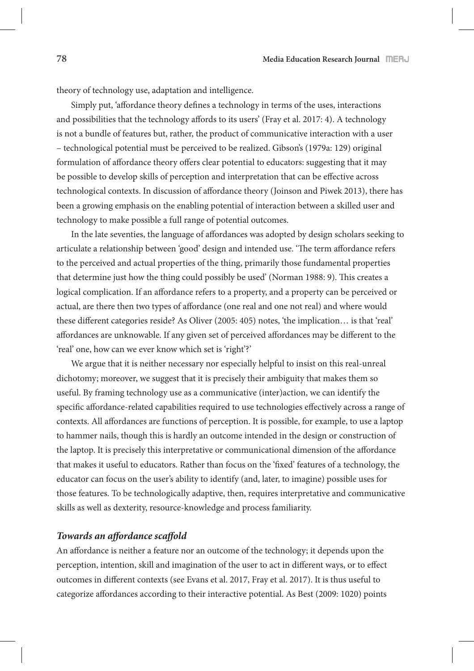theory of technology use, adaptation and intelligence.

Simply put, 'affordance theory defines a technology in terms of the uses, interactions and possibilities that the technology affords to its users' (Fray et al. 2017: 4). A technology is not a bundle of features but, rather, the product of communicative interaction with a user – technological potential must be perceived to be realized. Gibson's (1979a: 129) original formulation of affordance theory offers clear potential to educators: suggesting that it may be possible to develop skills of perception and interpretation that can be effective across technological contexts. In discussion of affordance theory (Joinson and Piwek 2013), there has been a growing emphasis on the enabling potential of interaction between a skilled user and technology to make possible a full range of potential outcomes.

In the late seventies, the language of affordances was adopted by design scholars seeking to articulate a relationship between 'good' design and intended use. 'The term affordance refers to the perceived and actual properties of the thing, primarily those fundamental properties that determine just how the thing could possibly be used' (Norman 1988: 9). This creates a logical complication. If an affordance refers to a property, and a property can be perceived or actual, are there then two types of affordance (one real and one not real) and where would these different categories reside? As Oliver (2005: 405) notes, 'the implication... is that 'real' affordances are unknowable. If any given set of perceived affordances may be different to the 'real' one, how can we ever know which set is 'right'?'

We argue that it is neither necessary nor especially helpful to insist on this real-unreal dichotomy; moreover, we suggest that it is precisely their ambiguity that makes them so useful. By framing technology use as a communicative (inter)action, we can identify the specific affordance-related capabilities required to use technologies effectively across a range of contexts. All affordances are functions of perception. It is possible, for example, to use a laptop to hammer nails, though this is hardly an outcome intended in the design or construction of the laptop. It is precisely this interpretative or communicational dimension of the affordance that makes it useful to educators. Rather than focus on the 'fixed' features of a technology, the educator can focus on the user's ability to identify (and, later, to imagine) possible uses for those features. To be technologically adaptive, then, requires interpretative and communicative skills as well as dexterity, resource-knowledge and process familiarity.

### *Towards an a***!***ordance sca***!***old*

An affordance is neither a feature nor an outcome of the technology; it depends upon the perception, intention, skill and imagination of the user to act in different ways, or to effect outcomes in different contexts (see Evans et al. 2017, Fray et al. 2017). It is thus useful to categorize affordances according to their interactive potential. As Best (2009: 1020) points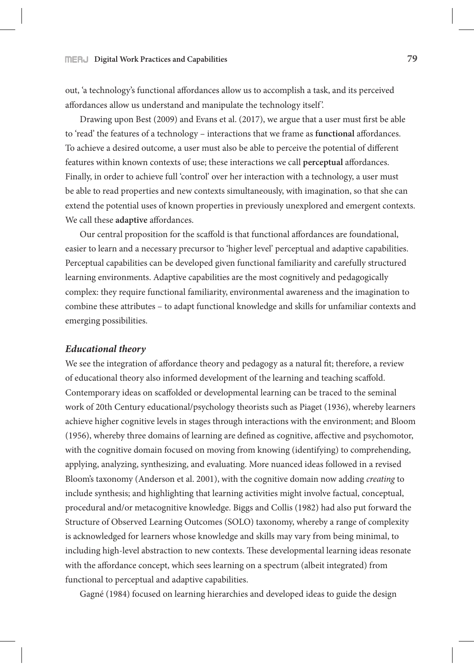out, 'a technology's functional affordances allow us to accomplish a task, and its perceived affordances allow us understand and manipulate the technology itself.

Drawing upon Best  $(2009)$  and Evans et al.  $(2017)$ , we argue that a user must first be able to 'read' the features of a technology – interactions that we frame as **functional** affordances. To achieve a desired outcome, a user must also be able to perceive the potential of different features within known contexts of use; these interactions we call **perceptual** affordances. Finally, in order to achieve full 'control' over her interaction with a technology, a user must be able to read properties and new contexts simultaneously, with imagination, so that she can extend the potential uses of known properties in previously unexplored and emergent contexts. We call these **adaptive** affordances.

Our central proposition for the scaffold is that functional affordances are foundational, easier to learn and a necessary precursor to 'higher level' perceptual and adaptive capabilities. Perceptual capabilities can be developed given functional familiarity and carefully structured learning environments. Adaptive capabilities are the most cognitively and pedagogically complex: they require functional familiarity, environmental awareness and the imagination to combine these attributes – to adapt functional knowledge and skills for unfamiliar contexts and emerging possibilities.

### *Educational theory*

We see the integration of affordance theory and pedagogy as a natural fit; therefore, a review of educational theory also informed development of the learning and teaching scaffold. Contemporary ideas on scaffolded or developmental learning can be traced to the seminal work of 20th Century educational/psychology theorists such as Piaget (1936), whereby learners achieve higher cognitive levels in stages through interactions with the environment; and Bloom (1956), whereby three domains of learning are defined as cognitive, affective and psychomotor, with the cognitive domain focused on moving from knowing (identifying) to comprehending, applying, analyzing, synthesizing, and evaluating. More nuanced ideas followed in a revised Bloom's taxonomy (Anderson et al. 2001), with the cognitive domain now adding *creating* to include synthesis; and highlighting that learning activities might involve factual, conceptual, procedural and/or metacognitive knowledge. Biggs and Collis (1982) had also put forward the Structure of Observed Learning Outcomes (SOLO) taxonomy, whereby a range of complexity is acknowledged for learners whose knowledge and skills may vary from being minimal, to including high-level abstraction to new contexts. These developmental learning ideas resonate with the affordance concept, which sees learning on a spectrum (albeit integrated) from functional to perceptual and adaptive capabilities.

Gagné (1984) focused on learning hierarchies and developed ideas to guide the design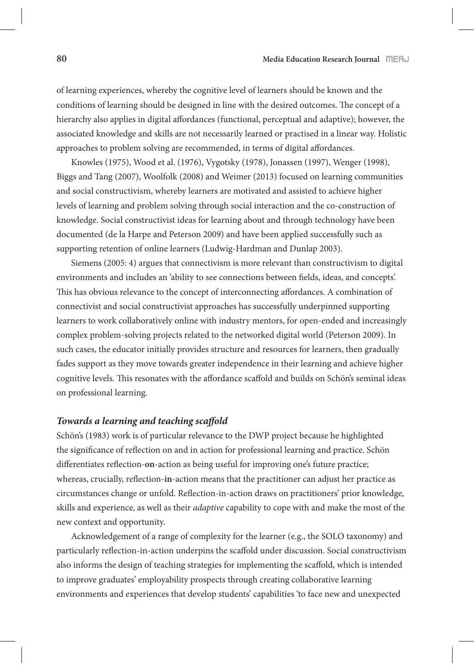of learning experiences, whereby the cognitive level of learners should be known and the conditions of learning should be designed in line with the desired outcomes. The concept of a hierarchy also applies in digital affordances (functional, perceptual and adaptive); however, the associated knowledge and skills are not necessarily learned or practised in a linear way. Holistic approaches to problem solving are recommended, in terms of digital affordances.

Knowles (1975), Wood et al. (1976), Vygotsky (1978), Jonassen (1997), Wenger (1998), Biggs and Tang (2007), Woolfolk (2008) and Weimer (2013) focused on learning communities and social constructivism, whereby learners are motivated and assisted to achieve higher levels of learning and problem solving through social interaction and the co-construction of knowledge. Social constructivist ideas for learning about and through technology have been documented (de la Harpe and Peterson 2009) and have been applied successfully such as supporting retention of online learners (Ludwig-Hardman and Dunlap 2003).

Siemens (2005: 4) argues that connectivism is more relevant than constructivism to digital environments and includes an 'ability to see connections between fields, ideas, and concepts'. This has obvious relevance to the concept of interconnecting affordances. A combination of connectivist and social constructivist approaches has successfully underpinned supporting learners to work collaboratively online with industry mentors, for open-ended and increasingly complex problem-solving projects related to the networked digital world (Peterson 2009). In such cases, the educator initially provides structure and resources for learners, then gradually fades support as they move towards greater independence in their learning and achieve higher cognitive levels. This resonates with the affordance scaffold and builds on Schön's seminal ideas on professional learning.

### *Towards a learning and teaching sca***!***old*

Schön's (1983) work is of particular relevance to the DWP project because he highlighted the significance of reflection on and in action for professional learning and practice. Schön differentiates reflection-on-action as being useful for improving one's future practice; whereas, crucially, reflection-in-action means that the practitioner can adjust her practice as circumstances change or unfold. Reflection-in-action draws on practitioners' prior knowledge, skills and experience, as well as their *adaptive* capability to cope with and make the most of the new context and opportunity.

Acknowledgement of a range of complexity for the learner (e.g., the SOLO taxonomy) and particularly reflection-in-action underpins the scaffold under discussion. Social constructivism also informs the design of teaching strategies for implementing the scaffold, which is intended to improve graduates' employability prospects through creating collaborative learning environments and experiences that develop students' capabilities 'to face new and unexpected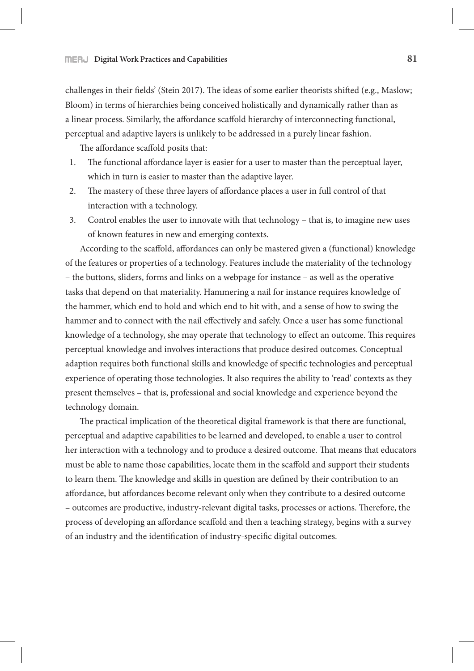challenges in their fields' (Stein 2017). The ideas of some earlier theorists shifted (e.g., Maslow; Bloom) in terms of hierarchies being conceived holistically and dynamically rather than as a linear process. Similarly, the affordance scaffold hierarchy of interconnecting functional, perceptual and adaptive layers is unlikely to be addressed in a purely linear fashion.

The affordance scaffold posits that:

- 1. The functional affordance layer is easier for a user to master than the perceptual layer, which in turn is easier to master than the adaptive layer.
- 2. The mastery of these three layers of affordance places a user in full control of that interaction with a technology.
- 3. Control enables the user to innovate with that technology that is, to imagine new uses of known features in new and emerging contexts.

According to the scaffold, affordances can only be mastered given a (functional) knowledge of the features or properties of a technology. Features include the materiality of the technology – the buttons, sliders, forms and links on a webpage for instance – as well as the operative tasks that depend on that materiality. Hammering a nail for instance requires knowledge of the hammer, which end to hold and which end to hit with, and a sense of how to swing the hammer and to connect with the nail effectively and safely. Once a user has some functional knowledge of a technology, she may operate that technology to effect an outcome. This requires perceptual knowledge and involves interactions that produce desired outcomes. Conceptual adaption requires both functional skills and knowledge of specific technologies and perceptual experience of operating those technologies. It also requires the ability to 'read' contexts as they present themselves – that is, professional and social knowledge and experience beyond the technology domain.

The practical implication of the theoretical digital framework is that there are functional, perceptual and adaptive capabilities to be learned and developed, to enable a user to control her interaction with a technology and to produce a desired outcome. That means that educators must be able to name those capabilities, locate them in the scaffold and support their students to learn them. The knowledge and skills in question are defined by their contribution to an affordance, but affordances become relevant only when they contribute to a desired outcome – outcomes are productive, industry-relevant digital tasks, processes or actions. Therefore, the process of developing an affordance scaffold and then a teaching strategy, begins with a survey of an industry and the identification of industry-specific digital outcomes.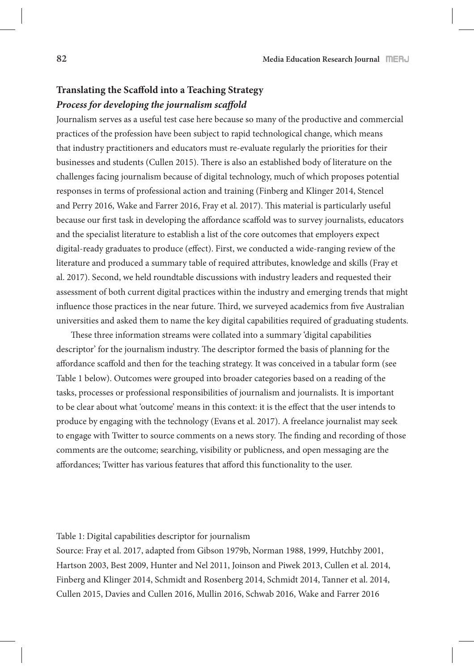## **Translating the Scaffold into a Teaching Strategy** *Process for developing the journalism sca***!***old*

Journalism serves as a useful test case here because so many of the productive and commercial practices of the profession have been subject to rapid technological change, which means that industry practitioners and educators must re-evaluate regularly the priorities for their businesses and students (Cullen 2015). There is also an established body of literature on the challenges facing journalism because of digital technology, much of which proposes potential responses in terms of professional action and training (Finberg and Klinger 2014, Stencel and Perry 2016, Wake and Farrer 2016, Fray et al. 2017). This material is particularly useful because our first task in developing the affordance scaffold was to survey journalists, educators and the specialist literature to establish a list of the core outcomes that employers expect digital-ready graduates to produce (effect). First, we conducted a wide-ranging review of the literature and produced a summary table of required attributes, knowledge and skills (Fray et al. 2017). Second, we held roundtable discussions with industry leaders and requested their assessment of both current digital practices within the industry and emerging trends that might influence those practices in the near future. Third, we surveyed academics from five Australian universities and asked them to name the key digital capabilities required of graduating students.

These three information streams were collated into a summary 'digital capabilities descriptor' for the journalism industry. The descriptor formed the basis of planning for the affordance scaffold and then for the teaching strategy. It was conceived in a tabular form (see Table 1 below). Outcomes were grouped into broader categories based on a reading of the tasks, processes or professional responsibilities of journalism and journalists. It is important to be clear about what 'outcome' means in this context: it is the effect that the user intends to produce by engaging with the technology (Evans et al. 2017). A freelance journalist may seek to engage with Twitter to source comments on a news story. The finding and recording of those comments are the outcome; searching, visibility or publicness, and open messaging are the affordances; Twitter has various features that afford this functionality to the user.

### Table 1: Digital capabilities descriptor for journalism

Source: Fray et al. 2017, adapted from Gibson 1979b, Norman 1988, 1999, Hutchby 2001, Hartson 2003, Best 2009, Hunter and Nel 2011, Joinson and Piwek 2013, Cullen et al. 2014, Finberg and Klinger 2014, Schmidt and Rosenberg 2014, Schmidt 2014, Tanner et al. 2014, Cullen 2015, Davies and Cullen 2016, Mullin 2016, Schwab 2016, Wake and Farrer 2016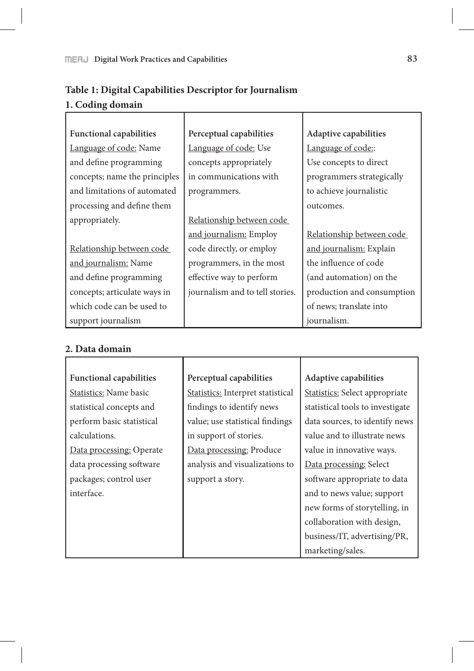| <b>Functional capabilities</b> | Perceptual capabilities         | Adaptive capabilities      |  |  |
|--------------------------------|---------------------------------|----------------------------|--|--|
| Language of code: Name         | Language of code: Use           | Language of code:          |  |  |
| and define programming         | concepts appropriately          | Use concepts to direct     |  |  |
| concepts; name the principles  | in communications with          | programmers strategically  |  |  |
| and limitations of automated   | programmers.                    | to achieve journalistic    |  |  |
| processing and define them     |                                 | outcomes.                  |  |  |
| appropriately.                 | Relationship between code       |                            |  |  |
|                                | and journalism: Employ          | Relationship between code  |  |  |
| Relationship between code      | code directly, or employ        | and journalism: Explain    |  |  |
| and journalism: Name           | programmers, in the most        | the influence of code      |  |  |
| and define programming         | effective way to perform        | (and automation) on the    |  |  |
| concepts; articulate ways in   | journalism and to tell stories. | production and consumption |  |  |
| which code can be used to      |                                 | of news; translate into    |  |  |
| support journalism             |                                 | journalism.                |  |  |

# **Table 1: Digital Capabilities Descriptor for Journalism 1. Coding domain**

# **2. Data domain**

| <b>Functional capabilities</b> | Perceptual capabilities                  | Adaptive capabilities                 |  |  |
|--------------------------------|------------------------------------------|---------------------------------------|--|--|
| <b>Statistics:</b> Name basic  | <b>Statistics:</b> Interpret statistical | <b>Statistics:</b> Select appropriate |  |  |
| statistical concepts and       | findings to identify news                | statistical tools to investigate      |  |  |
| perform basic statistical      | value; use statistical findings          | data sources, to identify news        |  |  |
| calculations.                  | in support of stories.                   | value and to illustrate news          |  |  |
| Data processing: Operate       | Data processing: Produce                 | value in innovative ways.             |  |  |
| data processing software       | analysis and visualizations to           | Data processing: Select               |  |  |
| packages; control user         | support a story.                         | software appropriate to data          |  |  |
| interface.                     |                                          | and to news value; support            |  |  |
|                                |                                          | new forms of storytelling, in         |  |  |
|                                |                                          | collaboration with design,            |  |  |
|                                |                                          | business/IT, advertising/PR,          |  |  |
|                                |                                          | marketing/sales.                      |  |  |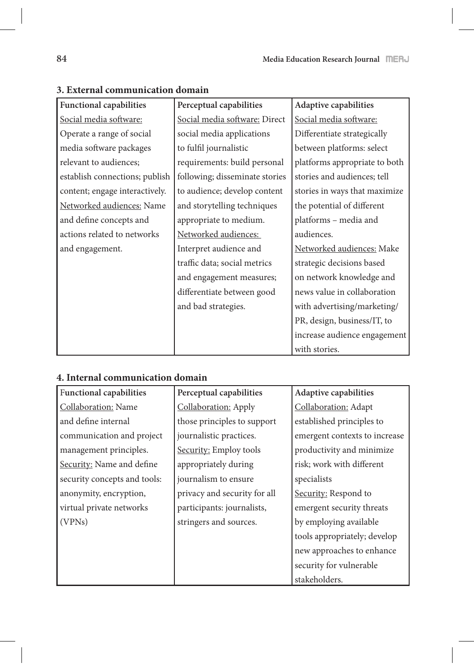| <b>Functional capabilities</b> | Perceptual capabilities        | Adaptive capabilities         |  |  |
|--------------------------------|--------------------------------|-------------------------------|--|--|
| Social media software:         | Social media software: Direct  | Social media software:        |  |  |
| Operate a range of social      | social media applications      | Differentiate strategically   |  |  |
| media software packages        | to fulfil journalistic         | between platforms: select     |  |  |
| relevant to audiences;         | requirements: build personal   | platforms appropriate to both |  |  |
| establish connections; publish | following; disseminate stories | stories and audiences; tell   |  |  |
| content; engage interactively. | to audience; develop content   | stories in ways that maximize |  |  |
| Networked audiences: Name      | and storytelling techniques    | the potential of different    |  |  |
| and define concepts and        | appropriate to medium.         | platforms - media and         |  |  |
| actions related to networks    | Networked audiences:           | audiences.                    |  |  |
| and engagement.                | Interpret audience and         | Networked audiences: Make     |  |  |
|                                | traffic data; social metrics   | strategic decisions based     |  |  |
|                                | and engagement measures;       | on network knowledge and      |  |  |
|                                | differentiate between good     | news value in collaboration   |  |  |
|                                | and bad strategies.            | with advertising/marketing/   |  |  |
|                                |                                | PR, design, business/IT, to   |  |  |
|                                |                                | increase audience engagement  |  |  |
|                                |                                | with stories.                 |  |  |

# **3. External communication domain**

# **4. Internal communication domain**

| <b>Functional capabilities</b> | Perceptual capabilities      | Adaptive capabilities         |  |  |
|--------------------------------|------------------------------|-------------------------------|--|--|
| Collaboration: Name            | Collaboration: Apply         | Collaboration: Adapt          |  |  |
| and define internal            | those principles to support  | established principles to     |  |  |
| communication and project      | journalistic practices.      | emergent contexts to increase |  |  |
| management principles.         | Security: Employ tools       | productivity and minimize     |  |  |
| Security: Name and define      | appropriately during         | risk; work with different     |  |  |
| security concepts and tools:   | journalism to ensure         | specialists                   |  |  |
| anonymity, encryption,         | privacy and security for all | Security: Respond to          |  |  |
| virtual private networks       | participants: journalists,   | emergent security threats     |  |  |
| (VPNs)                         | stringers and sources.       | by employing available        |  |  |
|                                |                              | tools appropriately; develop  |  |  |
|                                |                              | new approaches to enhance     |  |  |
|                                |                              | security for vulnerable       |  |  |
|                                |                              | stakeholders.                 |  |  |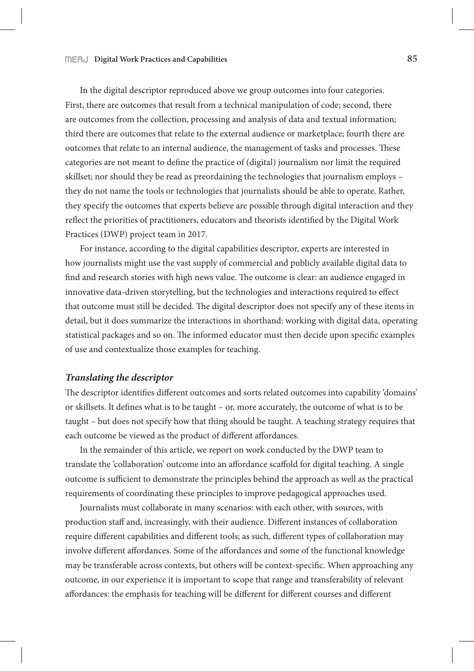In the digital descriptor reproduced above we group outcomes into four categories. First, there are outcomes that result from a technical manipulation of code; second, there are outcomes from the collection, processing and analysis of data and textual information; third there are outcomes that relate to the external audience or marketplace; fourth there are outcomes that relate to an internal audience, the management of tasks and processes. These categories are not meant to define the practice of (digital) journalism nor limit the required skillset; nor should they be read as preordaining the technologies that journalism employs – they do not name the tools or technologies that journalists should be able to operate. Rather, they specify the outcomes that experts believe are possible through digital interaction and they reflect the priorities of practitioners, educators and theorists identified by the Digital Work Practices (DWP) project team in 2017.

For instance, according to the digital capabilities descriptor, experts are interested in how journalists might use the vast supply of commercial and publicly available digital data to find and research stories with high news value. The outcome is clear: an audience engaged in innovative data-driven storytelling, but the technologies and interactions required to effect that outcome must still be decided. The digital descriptor does not specify any of these items in detail, but it does summarize the interactions in shorthand: working with digital data, operating statistical packages and so on. The informed educator must then decide upon specific examples of use and contextualize those examples for teaching.

#### *Translating the descriptor*

The descriptor identifies different outcomes and sorts related outcomes into capability 'domains' or skillsets. It defines what is to be taught – or, more accurately, the outcome of what is to be taught – but does not specify how that thing should be taught. A teaching strategy requires that each outcome be viewed as the product of different affordances.

In the remainder of this article, we report on work conducted by the DWP team to translate the 'collaboration' outcome into an affordance scaffold for digital teaching. A single outcome is sufficient to demonstrate the principles behind the approach as well as the practical requirements of coordinating these principles to improve pedagogical approaches used.

Journalists must collaborate in many scenarios: with each other, with sources, with production staff and, increasingly, with their audience. Different instances of collaboration require different capabilities and different tools; as such, different types of collaboration may involve different affordances. Some of the affordances and some of the functional knowledge may be transferable across contexts, but others will be context-specific. When approaching any outcome, in our experience it is important to scope that range and transferability of relevant affordances: the emphasis for teaching will be different for different courses and different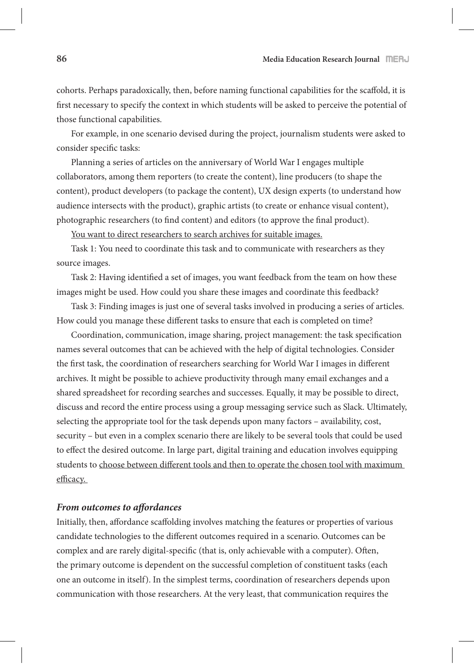cohorts. Perhaps paradoxically, then, before naming functional capabilities for the scaffold, it is first necessary to specify the context in which students will be asked to perceive the potential of those functional capabilities.

For example, in one scenario devised during the project, journalism students were asked to consider specific tasks:

Planning a series of articles on the anniversary of World War I engages multiple collaborators, among them reporters (to create the content), line producers (to shape the content), product developers (to package the content), UX design experts (to understand how audience intersects with the product), graphic artists (to create or enhance visual content), photographic researchers (to find content) and editors (to approve the final product).

You want to direct researchers to search archives for suitable images.

Task 1: You need to coordinate this task and to communicate with researchers as they source images.

Task 2: Having identified a set of images, you want feedback from the team on how these images might be used. How could you share these images and coordinate this feedback?

Task 3: Finding images is just one of several tasks involved in producing a series of articles. How could you manage these different tasks to ensure that each is completed on time?

Coordination, communication, image sharing, project management: the task specification names several outcomes that can be achieved with the help of digital technologies. Consider the first task, the coordination of researchers searching for World War I images in different archives. It might be possible to achieve productivity through many email exchanges and a shared spreadsheet for recording searches and successes. Equally, it may be possible to direct, discuss and record the entire process using a group messaging service such as Slack. Ultimately, selecting the appropriate tool for the task depends upon many factors – availability, cost, security – but even in a complex scenario there are likely to be several tools that could be used to effect the desired outcome. In large part, digital training and education involves equipping students to choose between different tools and then to operate the chosen tool with maximum efficacy.

#### *From outcomes to a***!***ordances*

Initially, then, affordance scaffolding involves matching the features or properties of various candidate technologies to the different outcomes required in a scenario. Outcomes can be complex and are rarely digital-specific (that is, only achievable with a computer). Often, the primary outcome is dependent on the successful completion of constituent tasks (each one an outcome in itself). In the simplest terms, coordination of researchers depends upon communication with those researchers. At the very least, that communication requires the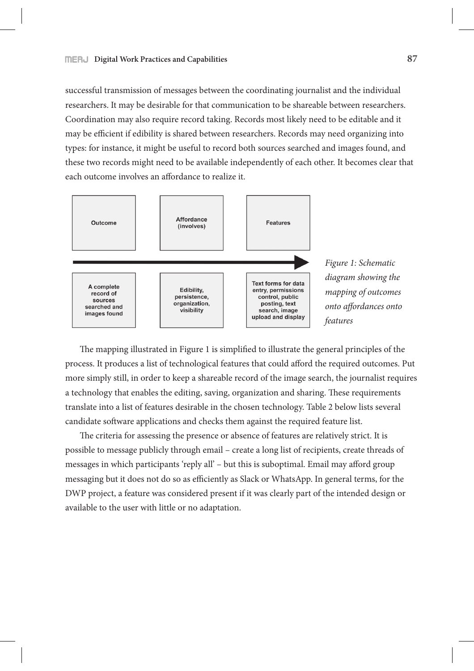successful transmission of messages between the coordinating journalist and the individual researchers. It may be desirable for that communication to be shareable between researchers. Coordination may also require record taking. Records most likely need to be editable and it may be efficient if edibility is shared between researchers. Records may need organizing into types: for instance, it might be useful to record both sources searched and images found, and these two records might need to be available independently of each other. It becomes clear that each outcome involves an affordance to realize it.



*Figure 1: Schematic diagram showing the mapping of outcomes onto a*!*ordances onto features* 

The mapping illustrated in Figure 1 is simplified to illustrate the general principles of the process. It produces a list of technological features that could afford the required outcomes. Put more simply still, in order to keep a shareable record of the image search, the journalist requires a technology that enables the editing, saving, organization and sharing. These requirements translate into a list of features desirable in the chosen technology. Table 2 below lists several candidate software applications and checks them against the required feature list.

The criteria for assessing the presence or absence of features are relatively strict. It is possible to message publicly through email – create a long list of recipients, create threads of messages in which participants 'reply all' – but this is suboptimal. Email may afford group messaging but it does not do so as efficiently as Slack or WhatsApp. In general terms, for the DWP project, a feature was considered present if it was clearly part of the intended design or available to the user with little or no adaptation.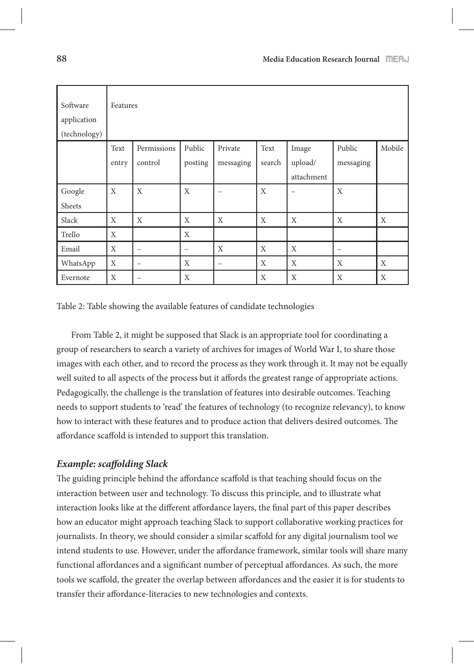| Software<br>application | Features    |             |             |                          |             |             |             |             |
|-------------------------|-------------|-------------|-------------|--------------------------|-------------|-------------|-------------|-------------|
| (technology)            |             |             |             |                          |             |             |             |             |
|                         | Text        | Permissions | Public      | Private                  | Text        | Image       | Public      | Mobile      |
|                         | entry       | control     | posting     | messaging                | search      | upload/     | messaging   |             |
|                         |             |             |             |                          |             | attachment  |             |             |
| Google                  | X           | X           | X           | -                        | $\mathbf X$ |             | X           |             |
| Sheets                  |             |             |             |                          |             |             |             |             |
| Slack                   | X           | X           | X           | X                        | X           | X           | X           | X           |
| Trello                  | X           |             | $\mathbf X$ |                          |             |             |             |             |
| Email                   | X           | -           | -           | X                        | $\mathbf X$ | X           | -           |             |
| WhatsApp                | X           | -           | $\mathbf X$ | $\overline{\phantom{m}}$ | $\mathbf X$ | $\mathbf X$ | $\mathbf X$ | X           |
| Evernote                | $\mathbf X$ | -           | $\mathbf X$ |                          | X           | $\mathbf X$ | $\mathbf X$ | $\mathbf X$ |

Table 2: Table showing the available features of candidate technologies

From Table 2, it might be supposed that Slack is an appropriate tool for coordinating a group of researchers to search a variety of archives for images of World War I, to share those images with each other, and to record the process as they work through it. It may not be equally well suited to all aspects of the process but it affords the greatest range of appropriate actions. Pedagogically, the challenge is the translation of features into desirable outcomes. Teaching needs to support students to 'read' the features of technology (to recognize relevancy), to know how to interact with these features and to produce action that delivers desired outcomes. The affordance scaffold is intended to support this translation.

### *Example: sca***!***olding Slack*

The guiding principle behind the affordance scaffold is that teaching should focus on the interaction between user and technology. To discuss this principle, and to illustrate what interaction looks like at the different affordance layers, the final part of this paper describes how an educator might approach teaching Slack to support collaborative working practices for journalists. In theory, we should consider a similar scaffold for any digital journalism tool we intend students to use. However, under the affordance framework, similar tools will share many functional affordances and a significant number of perceptual affordances. As such, the more tools we scaffold, the greater the overlap between affordances and the easier it is for students to transfer their affordance-literacies to new technologies and contexts.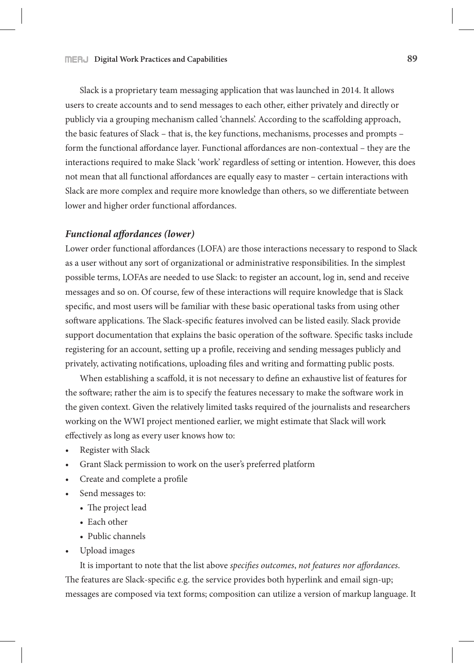Slack is a proprietary team messaging application that was launched in 2014. It allows users to create accounts and to send messages to each other, either privately and directly or publicly via a grouping mechanism called 'channels'. According to the scaffolding approach, the basic features of Slack – that is, the key functions, mechanisms, processes and prompts – form the functional affordance layer. Functional affordances are non-contextual – they are the interactions required to make Slack 'work' regardless of setting or intention. However, this does not mean that all functional affordances are equally easy to master – certain interactions with Slack are more complex and require more knowledge than others, so we differentiate between lower and higher order functional affordances.

### *Functional a***!***ordances (lower)*

Lower order functional affordances (LOFA) are those interactions necessary to respond to Slack as a user without any sort of organizational or administrative responsibilities. In the simplest possible terms, LOFAs are needed to use Slack: to register an account, log in, send and receive messages and so on. Of course, few of these interactions will require knowledge that is Slack specific, and most users will be familiar with these basic operational tasks from using other software applications. The Slack-specific features involved can be listed easily. Slack provide support documentation that explains the basic operation of the software. Specific tasks include registering for an account, setting up a profile, receiving and sending messages publicly and privately, activating notifications, uploading files and writing and formatting public posts.

When establishing a scaffold, it is not necessary to define an exhaustive list of features for the software; rather the aim is to specify the features necessary to make the software work in the given context. Given the relatively limited tasks required of the journalists and researchers working on the WWI project mentioned earlier, we might estimate that Slack will work effectively as long as every user knows how to:

- Register with Slack
- Grant Slack permission to work on the user's preferred platform
- Create and complete a profile
- Send messages to:
	- The project lead
	- Each other
	- Public channels
- Upload images

It is important to note that the list above *specifies outcomes*, *not features nor affordances*. The features are Slack-specific e.g. the service provides both hyperlink and email sign-up; messages are composed via text forms; composition can utilize a version of markup language. It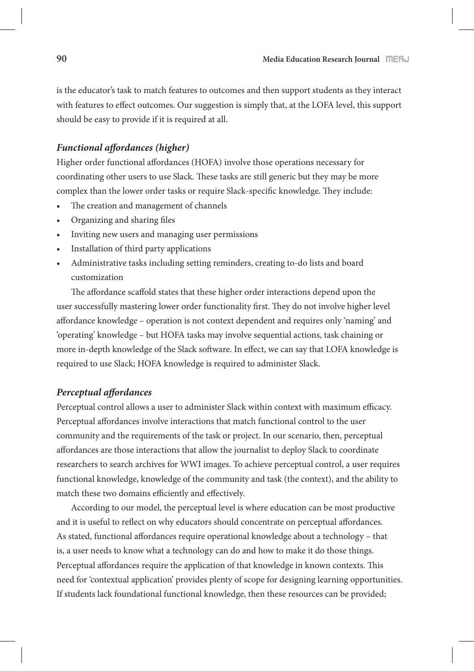is the educator's task to match features to outcomes and then support students as they interact with features to effect outcomes. Our suggestion is simply that, at the LOFA level, this support should be easy to provide if it is required at all.

### *Functional a***!***ordances (higher)*

Higher order functional affordances (HOFA) involve those operations necessary for coordinating other users to use Slack. These tasks are still generic but they may be more complex than the lower order tasks or require Slack-specific knowledge. They include:

- The creation and management of channels
- Organizing and sharing files
- Inviting new users and managing user permissions
- Installation of third party applications
- Administrative tasks including setting reminders, creating to-do lists and board customization

The affordance scaffold states that these higher order interactions depend upon the user successfully mastering lower order functionality first. They do not involve higher level affordance knowledge – operation is not context dependent and requires only 'naming' and 'operating' knowledge – but HOFA tasks may involve sequential actions, task chaining or more in-depth knowledge of the Slack software. In effect, we can say that LOFA knowledge is required to use Slack; HOFA knowledge is required to administer Slack.

### *Perceptual a***!***ordances*

Perceptual control allows a user to administer Slack within context with maximum efficacy. Perceptual affordances involve interactions that match functional control to the user community and the requirements of the task or project. In our scenario, then, perceptual affordances are those interactions that allow the journalist to deploy Slack to coordinate researchers to search archives for WWI images. To achieve perceptual control, a user requires functional knowledge, knowledge of the community and task (the context), and the ability to match these two domains efficiently and effectively.

According to our model, the perceptual level is where education can be most productive and it is useful to reflect on why educators should concentrate on perceptual affordances. As stated, functional affordances require operational knowledge about a technology - that is, a user needs to know what a technology can do and how to make it do those things. Perceptual affordances require the application of that knowledge in known contexts. This need for 'contextual application' provides plenty of scope for designing learning opportunities. If students lack foundational functional knowledge, then these resources can be provided;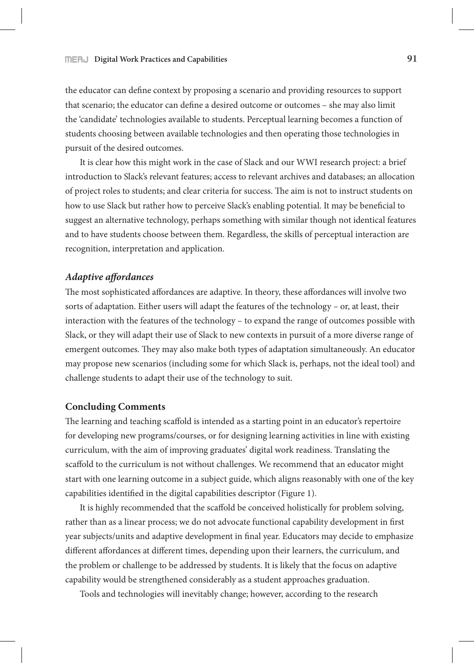the educator can define context by proposing a scenario and providing resources to support that scenario; the educator can define a desired outcome or outcomes – she may also limit the 'candidate' technologies available to students. Perceptual learning becomes a function of students choosing between available technologies and then operating those technologies in pursuit of the desired outcomes.

It is clear how this might work in the case of Slack and our WWI research project: a brief introduction to Slack's relevant features; access to relevant archives and databases; an allocation of project roles to students; and clear criteria for success. The aim is not to instruct students on how to use Slack but rather how to perceive Slack's enabling potential. It may be beneficial to suggest an alternative technology, perhaps something with similar though not identical features and to have students choose between them. Regardless, the skills of perceptual interaction are recognition, interpretation and application.

### *Adaptive a***!***ordances*

The most sophisticated affordances are adaptive. In theory, these affordances will involve two sorts of adaptation. Either users will adapt the features of the technology – or, at least, their interaction with the features of the technology – to expand the range of outcomes possible with Slack, or they will adapt their use of Slack to new contexts in pursuit of a more diverse range of emergent outcomes. They may also make both types of adaptation simultaneously. An educator may propose new scenarios (including some for which Slack is, perhaps, not the ideal tool) and challenge students to adapt their use of the technology to suit.

### **Concluding Comments**

The learning and teaching scaffold is intended as a starting point in an educator's repertoire for developing new programs/courses, or for designing learning activities in line with existing curriculum, with the aim of improving graduates' digital work readiness. Translating the scaffold to the curriculum is not without challenges. We recommend that an educator might start with one learning outcome in a subject guide, which aligns reasonably with one of the key capabilities identified in the digital capabilities descriptor (Figure 1).

It is highly recommended that the scaffold be conceived holistically for problem solving, rather than as a linear process; we do not advocate functional capability development in first year subjects/units and adaptive development in final year. Educators may decide to emphasize different affordances at different times, depending upon their learners, the curriculum, and the problem or challenge to be addressed by students. It is likely that the focus on adaptive capability would be strengthened considerably as a student approaches graduation.

Tools and technologies will inevitably change; however, according to the research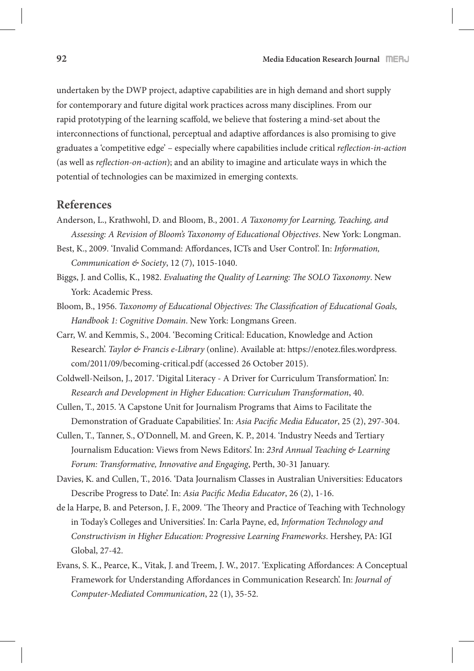undertaken by the DWP project, adaptive capabilities are in high demand and short supply for contemporary and future digital work practices across many disciplines. From our rapid prototyping of the learning scaffold, we believe that fostering a mind-set about the interconnections of functional, perceptual and adaptive affordances is also promising to give graduates a 'competitive edge' – especially where capabilities include critical *re*#*ection-in-action* (as well as *reflection-on-action*); and an ability to imagine and articulate ways in which the potential of technologies can be maximized in emerging contexts.

### **References**

- Anderson, L., Krathwohl, D. and Bloom, B., 2001. *A Taxonomy for Learning, Teaching, and Assessing: A Revision of Bloom's Taxonomy of Educational Objectives*. New York: Longman.
- Best, K., 2009. 'Invalid Command: Affordances, ICTs and User Control'. In: *Information*, *Communication & Society*, 12 (7), 1015-1040.
- Biggs, J. and Collis, K., 1982. *Evaluating the Quality of Learning: The SOLO Taxonomy*. New York: Academic Press.
- Bloom, B., 1956. *Taxonomy of Educational Objectives: The Classification of Educational Goals, Handbook 1: Cognitive Domain*. New York: Longmans Green.
- Carr, W. and Kemmis, S., 2004. 'Becoming Critical: Education, Knowledge and Action Research'. *Taylor & Francis e-Library* (online). Available at: https://enotez.files.wordpress. com/2011/09/becoming-critical.pdf (accessed 26 October 2015).
- Coldwell-Neilson, J., 2017. 'Digital Literacy A Driver for Curriculum Transformation'. In: *Research and Development in Higher Education: Curriculum Transformation*, 40.
- Cullen, T., 2015. 'A Capstone Unit for Journalism Programs that Aims to Facilitate the Demonstration of Graduate Capabilities<sup>2</sup>. In: Asia Pacific Media Educator, 25 (2), 297-304.
- Cullen, T., Tanner, S., O'Donnell, M. and Green, K. P., 2014. 'Industry Needs and Tertiary Journalism Education: Views from News Editors'. In: *23rd Annual Teaching & Learning Forum: Transformative, Innovative and Engaging*, Perth, 30-31 January.
- Davies, K. and Cullen, T., 2016. 'Data Journalism Classes in Australian Universities: Educators Describe Progress to Date<sup>2</sup>. In: Asia Pacific Media Educator, 26 (2), 1-16.
- de la Harpe, B. and Peterson, J. F., 2009. 'The Theory and Practice of Teaching with Technology in Today's Colleges and Universities'. In: Carla Payne, ed, *Information Technology and Constructivism in Higher Education: Progressive Learning Frameworks*. Hershey, PA: IGI Global, 27-42.
- Evans, S. K., Pearce, K., Vitak, J. and Treem, J. W., 2017. 'Explicating Affordances: A Conceptual Framework for Understanding Affordances in Communication Research'. In: *Journal of Computer-Mediated Communication*, 22 (1), 35-52.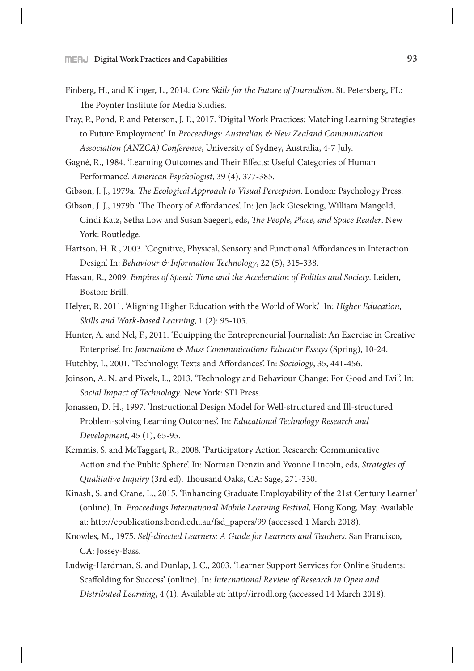- Finberg, H., and Klinger, L., 2014. *Core Skills for the Future of Journalism*. St. Petersberg, FL: The Poynter Institute for Media Studies.
- Fray, P., Pond, P. and Peterson, J. F., 2017. 'Digital Work Practices: Matching Learning Strategies to Future Employment'. In *Proceedings: Australian & New Zealand Communication Association (ANZCA) Conference*, University of Sydney, Australia, 4-7 July.
- Gagné, R., 1984. 'Learning Outcomes and Their Effects: Useful Categories of Human Performance'. *American Psychologist*, 39 (4), 377-385.
- Gibson, J. J., 1979a. *The Ecological Approach to Visual Perception*. London: Psychology Press.
- Gibson, J. J., 1979b. 'The Theory of Affordances'. In: Jen Jack Gieseking, William Mangold, Cindi Katz, Setha Low and Susan Saegert, eds, \$*e People, Place, and Space Reader*. New York: Routledge.
- Hartson, H. R., 2003. 'Cognitive, Physical, Sensory and Functional Affordances in Interaction Design'. In: *Behaviour & Information Technology*, 22 (5), 315-338.
- Hassan, R., 2009. *Empires of Speed: Time and the Acceleration of Politics and Society*. Leiden, Boston: Brill.
- Helyer, R. 2011. 'Aligning Higher Education with the World of Work.' In: *Higher Education, Skills and Work-based Learning*, 1 (2): 95-105.
- Hunter, A. and Nel, F., 2011. 'Equipping the Entrepreneurial Journalist: An Exercise in Creative Enterprise'. In: *Journalism & Mass Communications Educator Essays* (Spring), 10-24.
- Hutchby, I., 2001. 'Technology, Texts and A"ordances'. In: *Sociology*, 35, 441-456.
- Joinson, A. N. and Piwek, L., 2013. 'Technology and Behaviour Change: For Good and Evil'. In: *Social Impact of Technology*. New York: STI Press.
- Jonassen, D. H., 1997. 'Instructional Design Model for Well-structured and Ill-structured Problem-solving Learning Outcomes'. In: *Educational Technology Research and Development*, 45 (1), 65-95.
- Kemmis, S. and McTaggart, R., 2008. 'Participatory Action Research: Communicative Action and the Public Sphere'. In: Norman Denzin and Yvonne Lincoln, eds, *Strategies of*  Qualitative Inquiry (3rd ed). Thousand Oaks, CA: Sage, 271-330.
- Kinash, S. and Crane, L., 2015. 'Enhancing Graduate Employability of the 21st Century Learner' (online). In: *Proceedings International Mobile Learning Festival*, Hong Kong, May. Available at: http://epublications.bond.edu.au/fsd\_papers/99 (accessed 1 March 2018).
- Knowles, M., 1975. *Self-directed Learners: A Guide for Learners and Teachers*. San Francisco, CA: Jossey-Bass.
- Ludwig-Hardman, S. and Dunlap, J. C., 2003. 'Learner Support Services for Online Students: Scaffolding for Success' (online). In: *International Review of Research in Open and Distributed Learning*, 4 (1). Available at: http://irrodl.org (accessed 14 March 2018).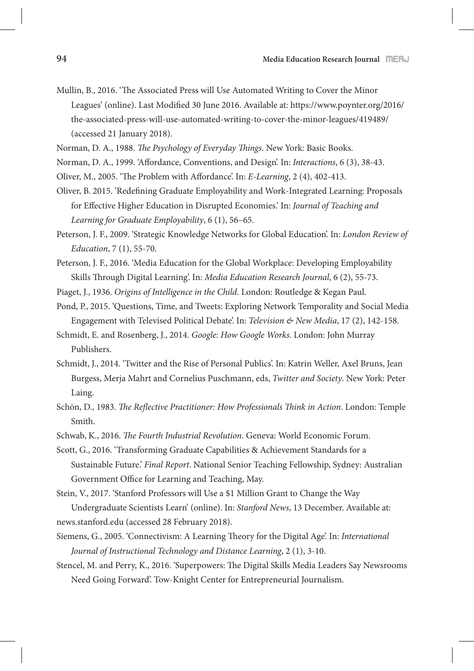- Mullin, B., 2016. 'The Associated Press will Use Automated Writing to Cover the Minor Leagues' (online). Last Modified 30 June 2016. Available at: https://www.poynter.org/2016/ the-associated-press-will-use-automated-writing-to-cover-the-minor-leagues/419489/ (accessed 21 January 2018).
- Norman, D. A., 1988. *The Psychology of Everyday Things*. New York: Basic Books.
- Norman, D. A., 1999. 'Affordance, Conventions, and Design'. In: *Interactions*, 6 (3), 38-43.
- Oliver, M., 2005. 'The Problem with Affordance'. In: *E-Learning*, 2(4), 402-413.
- Oliver, B. 2015. 'Rede\$ning Graduate Employability and Work-Integrated Learning: Proposals for Effective Higher Education in Disrupted Economies. In: *Journal of Teaching and Learning for Graduate Employability*, 6 (1), 56–65.
- Peterson, J. F., 2009. 'Strategic Knowledge Networks for Global Education'. In: *London Review of Education*, 7 (1), 55-70.
- Peterson, J. F., 2016. 'Media Education for the Global Workplace: Developing Employability Skills Through Digital Learning'. In: *Media Education Research Journal*, 6 (2), 55-73.
- Piaget, J., 1936. *Origins of Intelligence in the Child*. London: Routledge & Kegan Paul.
- Pond, P., 2015. 'Questions, Time, and Tweets: Exploring Network Temporality and Social Media Engagement with Televised Political Debate'. In: *Television & New Media*, 17 (2), 142-158.
- Schmidt, E. and Rosenberg, J., 2014. *Google: How Google Works*. London: John Murray Publishers.
- Schmidt, J., 2014. 'Twitter and the Rise of Personal Publics'. In: Katrin Weller, Axel Bruns, Jean Burgess, Merja Mahrt and Cornelius Puschmann, eds, *Twitter and Society*. New York: Peter Laing.
- Schön, D., 1983. \$*e Re*#*ective Practitioner: How Professionals* \$*ink in Action*. London: Temple Smith.
- Schwab, K., 2016. \$*e Fourth Industrial Revolution*. Geneva: World Economic Forum.
- Scott, G., 2016. 'Transforming Graduate Capabilities & Achievement Standards for a Sustainable Future.' *Final Report*. National Senior Teaching Fellowship, Sydney: Australian Government Office for Learning and Teaching, May.

Stein, V., 2017. 'Stanford Professors will Use a \$1 Million Grant to Change the Way Undergraduate Scientists Learn' (online). In: *Stanford News*, 13 December. Available at:

news.stanford.edu (accessed 28 February 2018).

- Siemens, G., 2005. 'Connectivism: A Learning Theory for the Digital Age'. In: *International Journal of Instructional Technology and Distance Learning*, 2 (1), 3-10.
- Stencel, M. and Perry, K., 2016. 'Superpowers: The Digital Skills Media Leaders Say Newsrooms Need Going Forward'. Tow-Knight Center for Entrepreneurial Journalism.